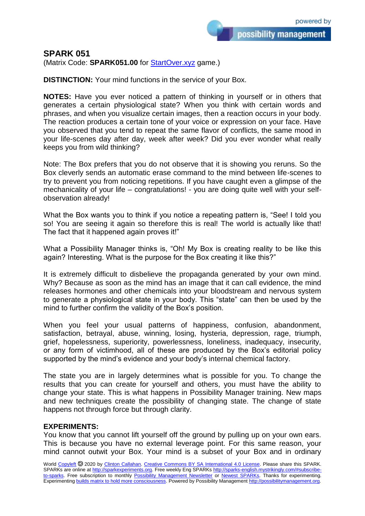## **SPARK 051**

(Matrix Code: **SPARK051.00** for **StartOver.xyz** game.)

**DISTINCTION:** Your mind functions in the service of your Box.

**NOTES:** Have you ever noticed a pattern of thinking in yourself or in others that generates a certain physiological state? When you think with certain words and phrases, and when you visualize certain images, then a reaction occurs in your body. The reaction produces a certain tone of your voice or expression on your face. Have you observed that you tend to repeat the same flavor of conflicts, the same mood in your life-scenes day after day, week after week? Did you ever wonder what really keeps you from wild thinking?

Note: The Box prefers that you do not observe that it is showing you reruns. So the Box cleverly sends an automatic erase command to the mind between life-scenes to try to prevent you from noticing repetitions. If you have caught even a glimpse of the mechanicality of your life – congratulations! - you are doing quite well with your selfobservation already!

What the Box wants you to think if you notice a repeating pattern is, "See! I told you so! You are seeing it again so therefore this is real! The world is actually like that! The fact that it happened again proves it!"

What a Possibility Manager thinks is, "Oh! My Box is creating reality to be like this again? Interesting. What is the purpose for the Box creating it like this?"

It is extremely difficult to disbelieve the propaganda generated by your own mind. Why? Because as soon as the mind has an image that it can call evidence, the mind releases hormones and other chemicals into your bloodstream and nervous system to generate a physiological state in your body. This "state" can then be used by the mind to further confirm the validity of the Box's position.

When you feel your usual patterns of happiness, confusion, abandonment, satisfaction, betrayal, abuse, winning, losing, hysteria, depression, rage, triumph, grief, hopelessness, superiority, powerlessness, loneliness, inadequacy, insecurity, or any form of victimhood, all of these are produced by the Box's editorial policy supported by the mind's evidence and your body's internal chemical factory.

The state you are in largely determines what is possible for you. To change the results that you can create for yourself and others, you must have the ability to change your state. This is what happens in Possibility Manager training. New maps and new techniques create the possibility of changing state. The change of state happens not through force but through clarity.

## **EXPERIMENTS:**

You know that you cannot lift yourself off the ground by pulling up on your own ears. This is because you have no external leverage point. For this same reason, your mind cannot outwit your Box. Your mind is a subset of your Box and in ordinary